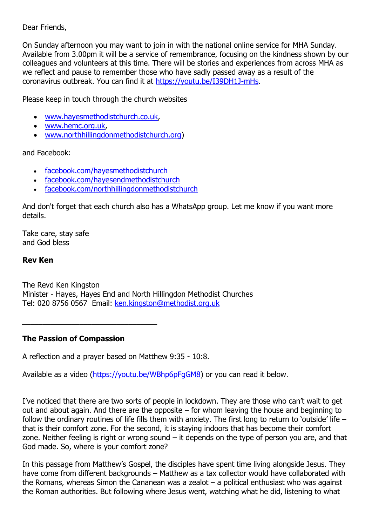### Dear Friends,

On Sunday afternoon you may want to join in with the national online service for MHA Sunday. Available from 3.00pm it will be a service of remembrance, focusing on the kindness shown by our colleagues and volunteers at this time. There will be stories and experiences from across MHA as we reflect and pause to remember those who have sadly passed away as a result of the coronavirus outbreak. You can find it at [https://youtu.be/I39DH1J-mHs.](https://youtu.be/I39DH1J-mHs)

Please keep in touch through the church websites

- [www.hayesmethodistchurch.co.uk,](http://www.hayesmethodistchurch.co.uk/)
- [www.hemc.org.uk,](http://www.hemc.org.uk/)
- [www.northhillingdonmethodistchurch.org\)](http://www.northhillingdonmethodistchurch.org/)

and Facebook:

- [facebook.com/hayesmethodistchurch](http://www.facebook.com/hayesmethodistchurch)
- [facebook.com/hayesendmethodistchurch](http://www.facebook.com/hayesendmethodistchurch)
- [facebook.com/northhillingdonmethodistchurch](http://www.facebook.com/northhillingdonmethodistchurch)

And don't forget that each church also has a WhatsApp group. Let me know if you want more details.

Take care, stay safe and God bless

### **Rev Ken**

The Revd Ken Kingston Minister - Hayes, Hayes End and North Hillingdon Methodist Churches Tel: 020 8756 0567 Email: [ken.kingston@methodist.org.uk](mailto:ken.kingston@methodist.org.uk)

# **The Passion of Compassion**

A reflection and a prayer based on Matthew 9:35 - 10:8.

Available as a video [\(https://youtu.be/WBhp6pFgGM8\)](https://youtu.be/WBhp6pFgGM8) or you can read it below.

I've noticed that there are two sorts of people in lockdown. They are those who can't wait to get out and about again. And there are the opposite – for whom leaving the house and beginning to follow the ordinary routines of life fills them with anxiety. The first long to return to 'outside' life – that is their comfort zone. For the second, it is staying indoors that has become their comfort zone. Neither feeling is right or wrong sound – it depends on the type of person you are, and that God made. So, where is your comfort zone?

In this passage from Matthew's Gospel, the disciples have spent time living alongside Jesus. They have come from different backgrounds – Matthew as a tax collector would have collaborated with the Romans, whereas Simon the Cananean was a zealot – a political enthusiast who was against the Roman authorities. But following where Jesus went, watching what he did, listening to what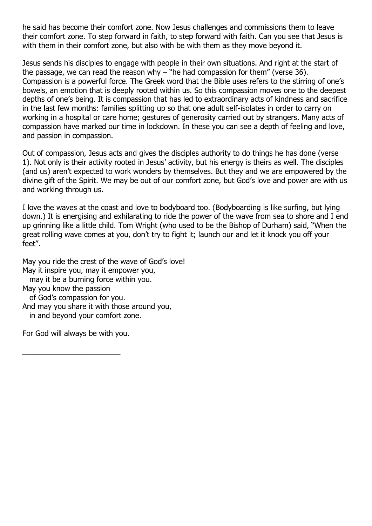he said has become their comfort zone. Now Jesus challenges and commissions them to leave their comfort zone. To step forward in faith, to step forward with faith. Can you see that Jesus is with them in their comfort zone, but also with be with them as they move beyond it.

Jesus sends his disciples to engage with people in their own situations. And right at the start of the passage, we can read the reason why  $-$  "he had compassion for them" (verse 36). Compassion is a powerful force. The Greek word that the Bible uses refers to the stirring of one's bowels, an emotion that is deeply rooted within us. So this compassion moves one to the deepest depths of one's being. It is compassion that has led to extraordinary acts of kindness and sacrifice in the last few months: families splitting up so that one adult self-isolates in order to carry on working in a hospital or care home; gestures of generosity carried out by strangers. Many acts of compassion have marked our time in lockdown. In these you can see a depth of feeling and love, and passion in compassion.

Out of compassion, Jesus acts and gives the disciples authority to do things he has done (verse 1). Not only is their activity rooted in Jesus' activity, but his energy is theirs as well. The disciples (and us) aren't expected to work wonders by themselves. But they and we are empowered by the divine gift of the Spirit. We may be out of our comfort zone, but God's love and power are with us and working through us.

I love the waves at the coast and love to bodyboard too. (Bodyboarding is like surfing, but lying down.) It is energising and exhilarating to ride the power of the wave from sea to shore and I end up grinning like a little child. Tom Wright (who used to be the Bishop of Durham) said, "When the great rolling wave comes at you, don't try to fight it; launch our and let it knock you off your feet".

May you ride the crest of the wave of God's love! May it inspire you, may it empower you, may it be a burning force within you. May you know the passion of God's compassion for you. And may you share it with those around you, in and beyond your comfort zone. For God will always be with you.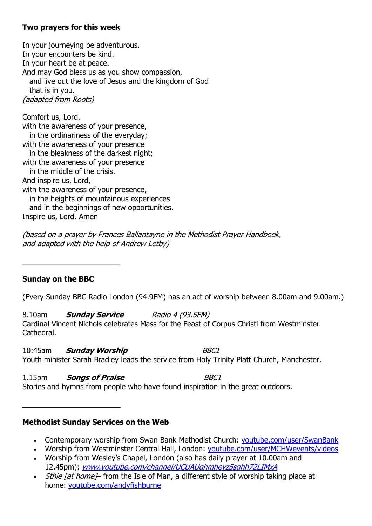### **Two prayers for this week**

In your journeying be adventurous. In your encounters be kind. In your heart be at peace. And may God bless us as you show compassion, and live out the love of Jesus and the kingdom of God that is in you. (adapted from Roots)

Comfort us, Lord, with the awareness of your presence, in the ordinariness of the everyday; with the awareness of your presence in the bleakness of the darkest night; with the awareness of your presence in the middle of the crisis. And inspire us, Lord, with the awareness of your presence, in the heights of mountainous experiences and in the beginnings of new opportunities. Inspire us, Lord. Amen

(based on a prayer by Frances Ballantayne in the Methodist Prayer Handbook, and adapted with the help of Andrew Letby)

# **Sunday on the BBC**

\_\_\_\_\_\_\_\_\_\_\_\_\_\_\_\_\_\_\_\_\_\_\_\_

(Every Sunday BBC Radio London (94.9FM) has an act of worship between 8.00am and 9.00am.)

8.10am **Sunday Service** Radio 4 (93.5FM) Cardinal Vincent Nichols celebrates Mass for the Feast of Corpus Christi from Westminster Cathedral.

10:45am **Sunday Worship** BBC1 Youth minister Sarah Bradley leads the service from Holy Trinity Platt Church, Manchester.

1.15pm **Songs of Praise** BBC1 Stories and hymns from people who have found inspiration in the great outdoors.

### **Methodist Sunday Services on the Web**

\_\_\_\_\_\_\_\_\_\_\_\_\_\_\_\_\_\_\_\_\_\_\_\_

- Contemporary worship from Swan Bank Methodist Church: [youtube.com/user/SwanBank](http://www.youtube.com/user/SwanBank)
- Worship from Westminster Central Hall, London: [youtube.com/user/MCHWevents/videos](http://www.youtube.com/user/MCHWevents/videos)
- Worship from Wesley's Chapel, London (also has daily prayer at 10.00am and 12.45pm): [www.youtube.com/channel/UCUAUqhmhevz5sqhh72LIMxA](http://www.youtube.com/channel/UCUAUqhmhevz5sqhh72LIMxA)
- *Sthie [at home]* from the Isle of Man, a different style of worship taking place at home: [youtube.com/andyfishburne](http://www.youtube.com/user/andyfishburne)